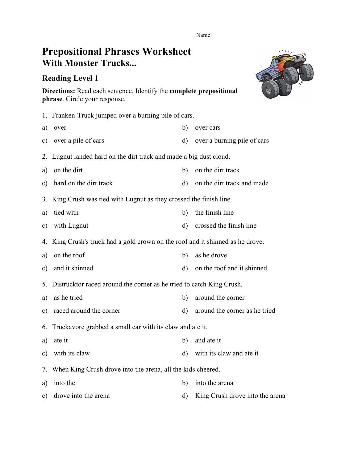Name:

## **Prepositional Phrases Worksheet With Monster Trucks...**

## **Reading Level 1**



**Directions:** Read each sentence. Identify the **complete prepositional phrase**. Circle your response.

|               | 1. Franken-Truck jumped over a burning pile of cars.                        |              |                                 |  |  |
|---------------|-----------------------------------------------------------------------------|--------------|---------------------------------|--|--|
| a)            | over                                                                        | b)           | over cars                       |  |  |
| $\mathbf{c})$ | over a pile of cars                                                         | $\mathbf{d}$ | over a burning pile of cars     |  |  |
| 2.            | Lugnut landed hard on the dirt track and made a big dust cloud.             |              |                                 |  |  |
| a)            | on the dirt                                                                 | b)           | on the dirt track               |  |  |
| c)            | hard on the dirt track                                                      | d)           | on the dirt track and made      |  |  |
| 3.            | King Crush was tied with Lugnut as they crossed the finish line.            |              |                                 |  |  |
| a)            | tied with                                                                   | b)           | the finish line                 |  |  |
| c)            | with Lugnut                                                                 | $\mathbf{d}$ | crossed the finish line         |  |  |
| 4.            | King Crush's truck had a gold crown on the roof and it shinned as he drove. |              |                                 |  |  |
| a)            | on the roof                                                                 | b)           | as he drove                     |  |  |
| c)            | and it shinned                                                              | d)           | on the roof and it shinned      |  |  |
| 5.            | Distrucktor raced around the corner as he tried to catch King Crush.        |              |                                 |  |  |
| a)            | as he tried                                                                 | b)           | around the corner               |  |  |
| c)            | raced around the corner                                                     | $\mathbf{d}$ | around the corner as he tried   |  |  |
| 6.            | Truckavore grabbed a small car with its claw and ate it.                    |              |                                 |  |  |
| a)            | ate it                                                                      | b)           | and ate it                      |  |  |
| c)            | with its claw                                                               | $\mathbf{d}$ | with its claw and ate it        |  |  |
| 7.            | When King Crush drove into the arena, all the kids cheered.                 |              |                                 |  |  |
| a)            | into the                                                                    | b)           | into the arena                  |  |  |
| c)            | drove into the arena                                                        | d)           | King Crush drove into the arena |  |  |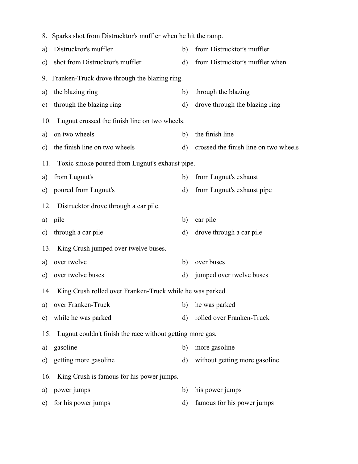|     | 8. Sparks shot from Distrucktor's muffler when he hit the ramp. |              |                                       |  |  |  |
|-----|-----------------------------------------------------------------|--------------|---------------------------------------|--|--|--|
| a)  | Distrucktor's muffler                                           | b)           | from Distrucktor's muffler            |  |  |  |
| c)  | shot from Distrucktor's muffler                                 | $\rm d)$     | from Distrucktor's muffler when       |  |  |  |
|     | 9. Franken-Truck drove through the blazing ring.                |              |                                       |  |  |  |
| a)  | the blazing ring                                                | b)           | through the blazing                   |  |  |  |
| c)  | through the blazing ring                                        | $\rm d$      | drove through the blazing ring        |  |  |  |
| 10. | Lugnut crossed the finish line on two wheels.                   |              |                                       |  |  |  |
| a)  | on two wheels                                                   | b)           | the finish line                       |  |  |  |
|     | c) the finish line on two wheels                                | $\mathbf{d}$ | crossed the finish line on two wheels |  |  |  |
| 11. | Toxic smoke poured from Lugnut's exhaust pipe.                  |              |                                       |  |  |  |
| a)  | from Lugnut's                                                   | b)           | from Lugnut's exhaust                 |  |  |  |
| c)  | poured from Lugnut's                                            | d)           | from Lugnut's exhaust pipe            |  |  |  |
|     | 12. Distrucktor drove through a car pile.                       |              |                                       |  |  |  |
| a)  | pile                                                            | b)           | car pile                              |  |  |  |
| c)  | through a car pile                                              | d)           | drove through a car pile              |  |  |  |
|     | 13. King Crush jumped over twelve buses.                        |              |                                       |  |  |  |
| a)  | over twelve                                                     | b)           | over buses                            |  |  |  |
| c)  | over twelve buses                                               | $\rm d$      | jumped over twelve buses              |  |  |  |
|     | 14. King Crush rolled over Franken-Truck while he was parked.   |              |                                       |  |  |  |
| a)  | over Franken-Truck                                              | b)           | he was parked                         |  |  |  |
| c)  | while he was parked                                             | $\rm d)$     | rolled over Franken-Truck             |  |  |  |
| 15. | Lugnut couldn't finish the race without getting more gas.       |              |                                       |  |  |  |
| a)  | gasoline                                                        | b)           | more gasoline                         |  |  |  |
|     | c) getting more gasoline                                        | $\rm d)$     | without getting more gasoline         |  |  |  |
|     | 16. King Crush is famous for his power jumps.                   |              |                                       |  |  |  |
| a)  | power jumps                                                     | b)           | his power jumps                       |  |  |  |
|     | c) for his power jumps                                          | $\rm d)$     | famous for his power jumps            |  |  |  |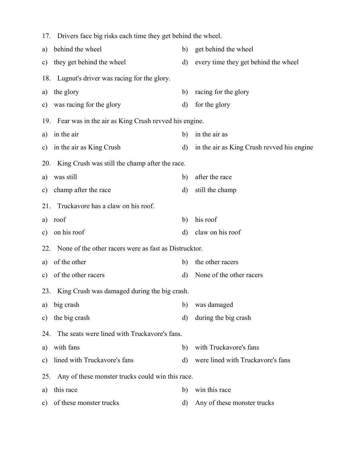|     | 17. Drivers face big risks each time they get behind the wheel. |              |                                            |  |  |  |
|-----|-----------------------------------------------------------------|--------------|--------------------------------------------|--|--|--|
| a)  | behind the wheel                                                | b)           | get behind the wheel                       |  |  |  |
| c)  | they get behind the wheel                                       | $\rm d$      | every time they get behind the wheel       |  |  |  |
| 18. | Lugnut's driver was racing for the glory.                       |              |                                            |  |  |  |
| a)  | the glory                                                       | b)           | racing for the glory                       |  |  |  |
| c)  | was racing for the glory                                        | d)           | for the glory                              |  |  |  |
|     | 19. Fear was in the air as King Crush revved his engine.        |              |                                            |  |  |  |
| a)  | in the air                                                      | b)           | in the air as                              |  |  |  |
|     | c) in the air as King Crush                                     | d)           | in the air as King Crush revved his engine |  |  |  |
| 20. | King Crush was still the champ after the race.                  |              |                                            |  |  |  |
| a)  | was still                                                       | b)           | after the race                             |  |  |  |
| c)  | champ after the race                                            | d)           | still the champ                            |  |  |  |
| 21. | Truckavore has a claw on his roof.                              |              |                                            |  |  |  |
| a)  | roof                                                            | b)           | his roof                                   |  |  |  |
| c)  | on his roof                                                     | $\mathbf{d}$ | claw on his roof                           |  |  |  |
| 22. | None of the other racers were as fast as Distrucktor.           |              |                                            |  |  |  |
| a)  | of the other                                                    | b)           | the other racers                           |  |  |  |
| c)  | of the other racers                                             | $\mathbf{d}$ | None of the other racers                   |  |  |  |
|     | 23. King Crush was damaged during the big crash.                |              |                                            |  |  |  |
| a)  | big crash                                                       | b)           | was damaged                                |  |  |  |
| c)  | the big crash                                                   | $\mathbf{d}$ | during the big crash                       |  |  |  |
| 24. | The seats were lined with Truckavore's fans.                    |              |                                            |  |  |  |
| a)  | with fans                                                       | b)           | with Truckavore's fans                     |  |  |  |
| c)  | lined with Truckavore's fans                                    | $\mathbf{d}$ | were lined with Truckavore's fans          |  |  |  |
| 25. | Any of these monster trucks could win this race.                |              |                                            |  |  |  |
| a)  | this race                                                       | b)           | win this race                              |  |  |  |
| c)  | of these monster trucks                                         | d)           | Any of these monster trucks                |  |  |  |